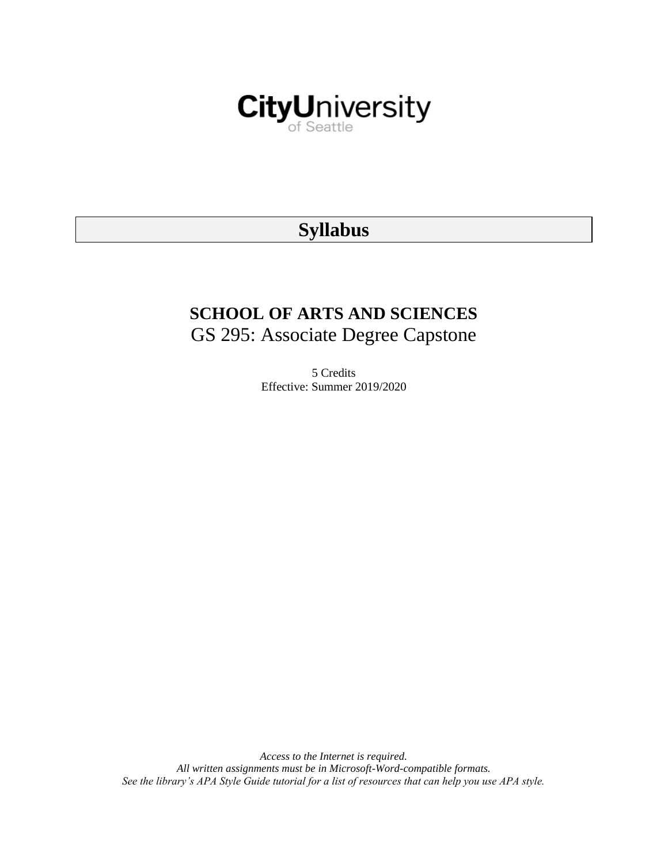

# **Syllabus**

# **SCHOOL OF ARTS AND SCIENCES** GS 295: Associate Degree Capstone

5 Credits Effective: Summer 2019/2020

*Access to the Internet is required. All written assignments must be in Microsoft-Word-compatible formats. See the library's APA Style Guide tutorial for a list of resources that can help you use APA style.*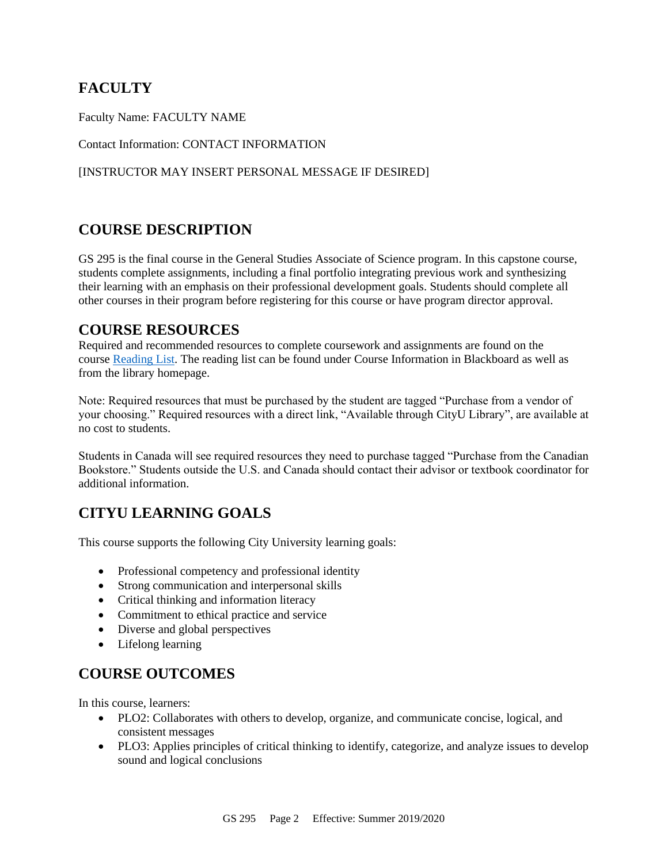# **FACULTY**

Faculty Name: FACULTY NAME

Contact Information: CONTACT INFORMATION

### [INSTRUCTOR MAY INSERT PERSONAL MESSAGE IF DESIRED]

# **COURSE DESCRIPTION**

GS 295 is the final course in the General Studies Associate of Science program. In this capstone course, students complete assignments, including a final portfolio integrating previous work and synthesizing their learning with an emphasis on their professional development goals. Students should complete all other courses in their program before registering for this course or have program director approval.

### **COURSE RESOURCES**

Required and recommended resources to complete coursework and assignments are found on the course [Reading List.](https://nam03.safelinks.protection.outlook.com/?url=https%3A%2F%2Fcityu.alma.exlibrisgroup.com%2Fleganto%2Flogin%3Fauth%3DSAML&data=04%7C01%7CMMara%40cityu.edu%7C70673ce0fe0144040eda08d87472e204%7Cb3fa96d9f5154662add763d854e39e63%7C1%7C0%7C637387384066198115%7CUnknown%7CTWFpbGZsb3d8eyJWIjoiMC4wLjAwMDAiLCJQIjoiV2luMzIiLCJBTiI6Ik1haWwiLCJXVCI6Mn0%3D%7C1000&sdata=JbwP%2Fm5Q%2BMgIUWa%2FXceos%2BoiLv0DX%2B%2FL%2BNGNMbX9P8E%3D&reserved=0) The reading list can be found under Course Information in Blackboard as well as from the library homepage.

Note: Required resources that must be purchased by the student are tagged "Purchase from a vendor of your choosing." Required resources with a direct link, "Available through CityU Library", are available at no cost to students.

Students in Canada will see required resources they need to purchase tagged "Purchase from the Canadian Bookstore." Students outside the U.S. and Canada should contact their advisor or textbook coordinator for additional information.

# **CITYU LEARNING GOALS**

This course supports the following City University learning goals:

- Professional competency and professional identity
- Strong communication and interpersonal skills
- Critical thinking and information literacy
- Commitment to ethical practice and service
- Diverse and global perspectives
- Lifelong learning

# **COURSE OUTCOMES**

In this course, learners:

- PLO2: Collaborates with others to develop, organize, and communicate concise, logical, and consistent messages
- PLO3: Applies principles of critical thinking to identify, categorize, and analyze issues to develop sound and logical conclusions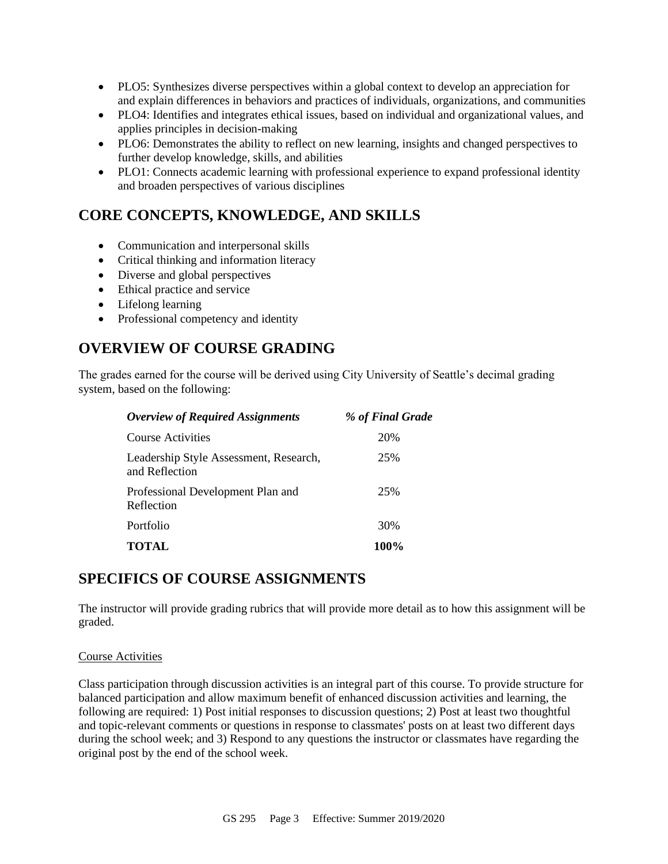- PLO5: Synthesizes diverse perspectives within a global context to develop an appreciation for and explain differences in behaviors and practices of individuals, organizations, and communities
- PLO4: Identifies and integrates ethical issues, based on individual and organizational values, and applies principles in decision-making
- PLO6: Demonstrates the ability to reflect on new learning, insights and changed perspectives to further develop knowledge, skills, and abilities
- PLO1: Connects academic learning with professional experience to expand professional identity and broaden perspectives of various disciplines

# **CORE CONCEPTS, KNOWLEDGE, AND SKILLS**

- Communication and interpersonal skills
- Critical thinking and information literacy
- Diverse and global perspectives
- Ethical practice and service
- Lifelong learning
- Professional competency and identity

# **OVERVIEW OF COURSE GRADING**

The grades earned for the course will be derived using City University of Seattle's decimal grading system, based on the following:

| <b>Overview of Required Assignments</b>                  | % of Final Grade |
|----------------------------------------------------------|------------------|
| Course Activities                                        | 20%              |
| Leadership Style Assessment, Research,<br>and Reflection | 25%              |
| Professional Development Plan and<br>Reflection          | 25%              |
| Portfolio                                                | 30%              |
| <b>TOTAL</b>                                             | 100%             |

### **SPECIFICS OF COURSE ASSIGNMENTS**

The instructor will provide grading rubrics that will provide more detail as to how this assignment will be graded.

### Course Activities

Class participation through discussion activities is an integral part of this course. To provide structure for balanced participation and allow maximum benefit of enhanced discussion activities and learning, the following are required: 1) Post initial responses to discussion questions; 2) Post at least two thoughtful and topic-relevant comments or questions in response to classmates' posts on at least two different days during the school week; and 3) Respond to any questions the instructor or classmates have regarding the original post by the end of the school week.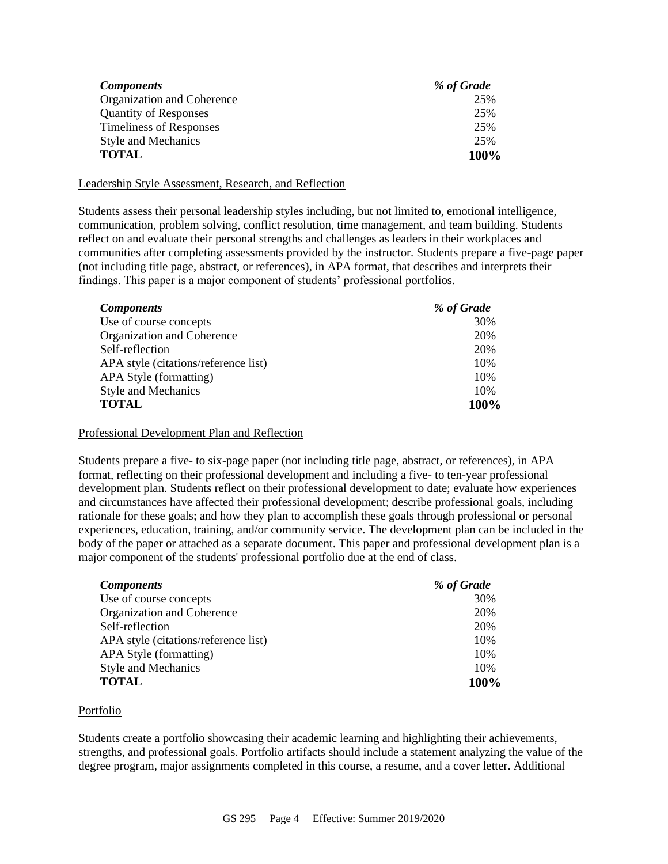| <b>Components</b>              | % of Grade |
|--------------------------------|------------|
| Organization and Coherence     | 25%        |
| <b>Quantity of Responses</b>   | 25%        |
| <b>Timeliness of Responses</b> | 25%        |
| <b>Style and Mechanics</b>     | 25%        |
| <b>TOTAL</b>                   | 100%       |

Leadership Style Assessment, Research, and Reflection

Students assess their personal leadership styles including, but not limited to, emotional intelligence, communication, problem solving, conflict resolution, time management, and team building. Students reflect on and evaluate their personal strengths and challenges as leaders in their workplaces and communities after completing assessments provided by the instructor. Students prepare a five-page paper (not including title page, abstract, or references), in APA format, that describes and interprets their findings. This paper is a major component of students' professional portfolios.

| <b>Components</b>                    | % of Grade |
|--------------------------------------|------------|
| Use of course concepts               | 30%        |
| Organization and Coherence           | 20%        |
| Self-reflection                      | 20%        |
| APA style (citations/reference list) | 10%        |
| APA Style (formatting)               | 10%        |
| <b>Style and Mechanics</b>           | 10%        |
| <b>TOTAL</b>                         | 100%       |

### Professional Development Plan and Reflection

Students prepare a five- to six-page paper (not including title page, abstract, or references), in APA format, reflecting on their professional development and including a five- to ten-year professional development plan. Students reflect on their professional development to date; evaluate how experiences and circumstances have affected their professional development; describe professional goals, including rationale for these goals; and how they plan to accomplish these goals through professional or personal experiences, education, training, and/or community service. The development plan can be included in the body of the paper or attached as a separate document. This paper and professional development plan is a major component of the students' professional portfolio due at the end of class.

| <b>Components</b>                    | % of Grade |
|--------------------------------------|------------|
| Use of course concepts               | 30%        |
| Organization and Coherence           | 20%        |
| Self-reflection                      | 20%        |
| APA style (citations/reference list) | 10%        |
| APA Style (formatting)               | 10%        |
| <b>Style and Mechanics</b>           | 10%        |
| <b>TOTAL</b>                         | 100%       |

### Portfolio

Students create a portfolio showcasing their academic learning and highlighting their achievements, strengths, and professional goals. Portfolio artifacts should include a statement analyzing the value of the degree program, major assignments completed in this course, a resume, and a cover letter. Additional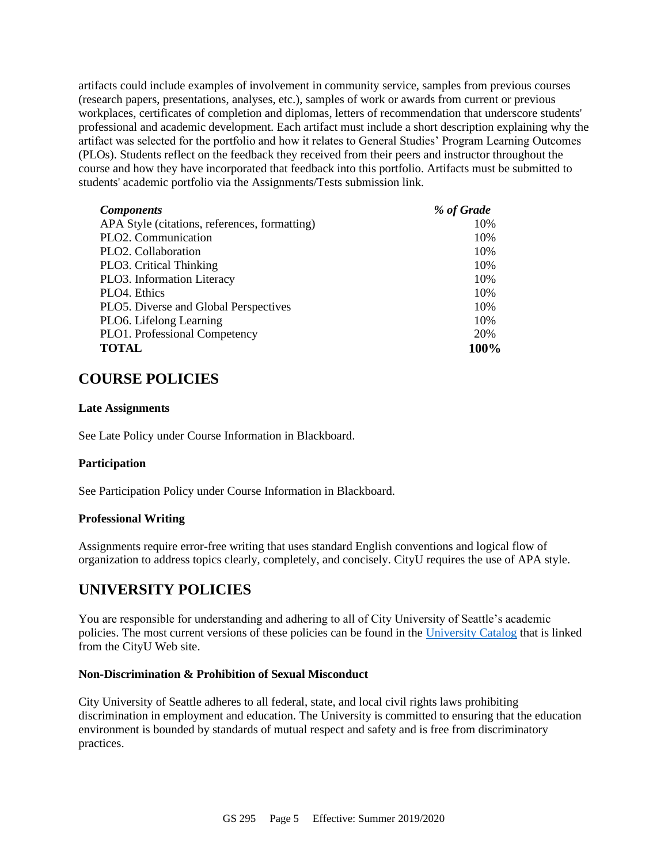artifacts could include examples of involvement in community service, samples from previous courses (research papers, presentations, analyses, etc.), samples of work or awards from current or previous workplaces, certificates of completion and diplomas, letters of recommendation that underscore students' professional and academic development. Each artifact must include a short description explaining why the artifact was selected for the portfolio and how it relates to General Studies' Program Learning Outcomes (PLOs). Students reflect on the feedback they received from their peers and instructor throughout the course and how they have incorporated that feedback into this portfolio. Artifacts must be submitted to students' academic portfolio via the Assignments/Tests submission link.

| <b>Components</b>                             | % of Grade |
|-----------------------------------------------|------------|
| APA Style (citations, references, formatting) | 10%        |
| PLO2. Communication                           | 10%        |
| PLO <sub>2</sub> . Collaboration              | 10%        |
| PLO3. Critical Thinking                       | 10%        |
| PLO3. Information Literacy                    | 10%        |
| PLO4. Ethics                                  | 10%        |
| PLO5. Diverse and Global Perspectives         | 10%        |
| PLO6. Lifelong Learning                       | 10%        |
| PLO1. Professional Competency                 | 20%        |
| <b>TOTAL</b>                                  | 100%       |

### **COURSE POLICIES**

### **Late Assignments**

See Late Policy under Course Information in Blackboard.

### **Participation**

See Participation Policy under Course Information in Blackboard.

### **Professional Writing**

Assignments require error-free writing that uses standard English conventions and logical flow of organization to address topics clearly, completely, and concisely. CityU requires the use of APA style.

# **UNIVERSITY POLICIES**

You are responsible for understanding and adhering to all of City University of Seattle's academic policies. The most current versions of these policies can be found in the [University Catalog](https://www.cityu.edu/catalog/) that is linked from the CityU Web site.

### **Non-Discrimination & Prohibition of Sexual Misconduct**

City University of Seattle adheres to all federal, state, and local civil rights laws prohibiting discrimination in employment and education. The University is committed to ensuring that the education environment is bounded by standards of mutual respect and safety and is free from discriminatory practices.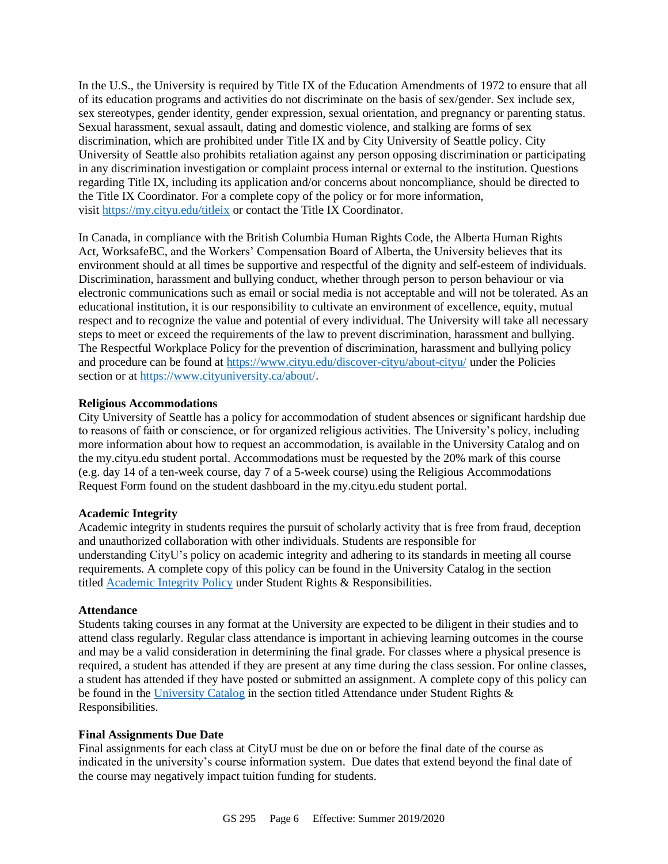In the U.S., the University is required by Title IX of the Education Amendments of 1972 to ensure that all of its education programs and activities do not discriminate on the basis of sex/gender. Sex include sex, sex stereotypes, gender identity, gender expression, sexual orientation, and pregnancy or parenting status. Sexual harassment, sexual assault, dating and domestic violence, and stalking are forms of sex discrimination, which are prohibited under Title IX and by City University of Seattle policy. City University of Seattle also prohibits retaliation against any person opposing discrimination or participating in any discrimination investigation or complaint process internal or external to the institution. Questions regarding Title IX, including its application and/or concerns about noncompliance, should be directed to the Title IX Coordinator. For a complete copy of the policy or for more information, visit <https://my.cityu.edu/titleix> or contact the Title IX Coordinator.

In Canada, in compliance with the British Columbia Human Rights Code, the Alberta Human Rights Act, WorksafeBC, and the Workers' Compensation Board of Alberta, the University believes that its environment should at all times be supportive and respectful of the dignity and self-esteem of individuals. Discrimination, harassment and bullying conduct, whether through person to person behaviour or via electronic communications such as email or social media is not acceptable and will not be tolerated. As an educational institution, it is our responsibility to cultivate an environment of excellence, equity, mutual respect and to recognize the value and potential of every individual. The University will take all necessary steps to meet or exceed the requirements of the law to prevent discrimination, harassment and bullying. The Respectful Workplace Policy for the prevention of discrimination, harassment and bullying policy and procedure can be found at <https://www.cityu.edu/discover-cityu/about-cityu/> under the Policies section or at <https://www.cityuniversity.ca/about/>.

### **Religious Accommodations**

City University of Seattle has a policy for accommodation of student absences or significant hardship due to reasons of faith or conscience, or for organized religious activities. The University's policy, including more information about how to request an accommodation, is available in the University Catalog and on the my.cityu.edu student portal. Accommodations must be requested by the 20% mark of this course (e.g. day 14 of a ten-week course, day 7 of a 5-week course) using the Religious Accommodations Request Form found on the student dashboard in the my.cityu.edu student portal.

#### **Academic Integrity**

Academic integrity in students requires the pursuit of scholarly activity that is free from fraud, deception and unauthorized collaboration with other individuals. Students are responsible for understanding CityU's policy on academic integrity and adhering to its standards in meeting all course requirements. A complete copy of this policy can be found in the University Catalog in the section titled [Academic Integrity Policy](https://www.cityu.edu/catalog/;) under Student Rights & Responsibilities.

#### **Attendance**

Students taking courses in any format at the University are expected to be diligent in their studies and to attend class regularly. Regular class attendance is important in achieving learning outcomes in the course and may be a valid consideration in determining the final grade. For classes where a physical presence is required, a student has attended if they are present at any time during the class session. For online classes, a student has attended if they have posted or submitted an assignment. A complete copy of this policy can be found in the [University](https://www.cityu.edu/catalog/;) Catalog in the section titled Attendance under Student Rights & Responsibilities.

#### **Final Assignments Due Date**

Final assignments for each class at CityU must be due on or before the final date of the course as indicated in the university's course information system. Due dates that extend beyond the final date of the course may negatively impact tuition funding for students.